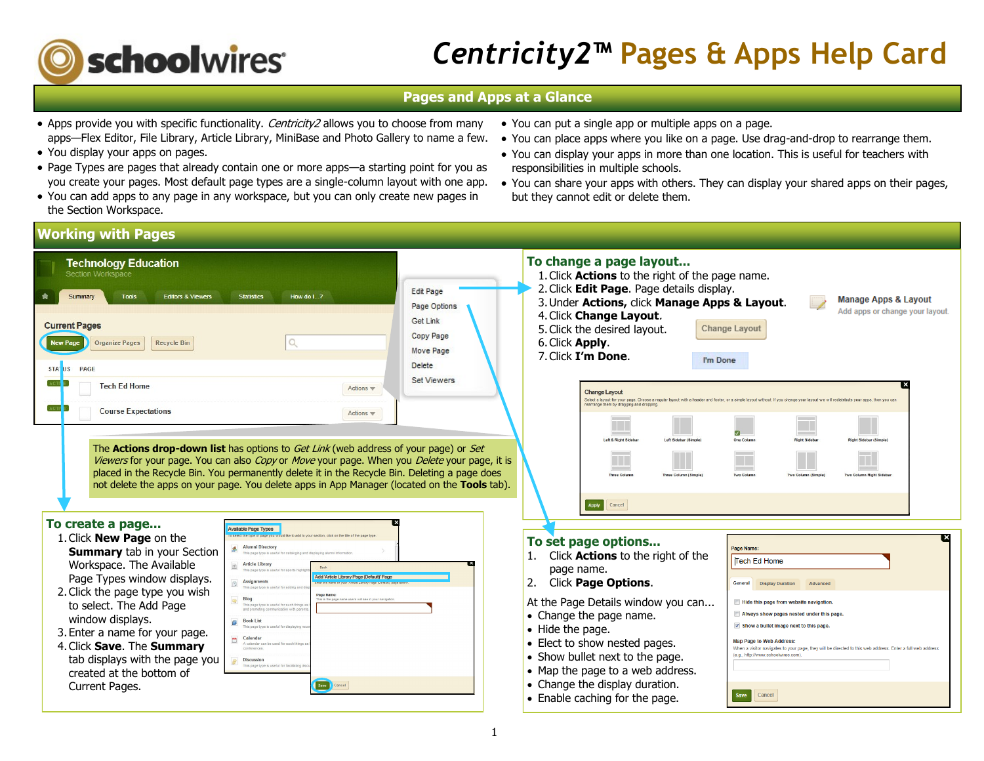

# *Centricity2***™ Pages & Apps Help Card**

# **Pages and Apps at a Glance**

- Apps provide you with specific functionality. Centricity2 allows you to choose from many apps—Flex Editor, File Library, Article Library, MiniBase and Photo Gallery to name a few.
- You display your apps on pages.
- Page Types are pages that already contain one or more apps—a starting point for you as you create your pages. Most default page types are a single-column layout with one app.
- You can add apps to any page in any workspace, but you can only create new pages in the Section Workspace.
- You can put a single app or multiple apps on a page.
- You can place apps where you like on a page. Use drag-and-drop to rearrange them.
- You can display your apps in more than one location. This is useful for teachers with responsibilities in multiple schools.
- You can share your apps with others. They can display your shared apps on their pages, but they cannot edit or delete them.

# **Working with Pages**

| <b>Technology Education</b><br>Section Workspace                                                                                                                                                                                                                                                                                                                                                                                                                                                                                                                                                                                                                                                                                                                                                                                                                                                                                                                                                                                                     | To change a page layout<br>1. Click <b>Actions</b> to the right of the page name.<br>2. Click Edit Page. Page details display.                                                                                                                                                                                                                                                                                                                                                                                                                                                                                                                                                                                                                                                                    |  |
|------------------------------------------------------------------------------------------------------------------------------------------------------------------------------------------------------------------------------------------------------------------------------------------------------------------------------------------------------------------------------------------------------------------------------------------------------------------------------------------------------------------------------------------------------------------------------------------------------------------------------------------------------------------------------------------------------------------------------------------------------------------------------------------------------------------------------------------------------------------------------------------------------------------------------------------------------------------------------------------------------------------------------------------------------|---------------------------------------------------------------------------------------------------------------------------------------------------------------------------------------------------------------------------------------------------------------------------------------------------------------------------------------------------------------------------------------------------------------------------------------------------------------------------------------------------------------------------------------------------------------------------------------------------------------------------------------------------------------------------------------------------------------------------------------------------------------------------------------------------|--|
| <b>Editors &amp; Viewers</b><br><b>Statistics</b><br>How do I?<br><b>Tools</b>                                                                                                                                                                                                                                                                                                                                                                                                                                                                                                                                                                                                                                                                                                                                                                                                                                                                                                                                                                       | <b>Edit Page</b><br><b>Manage Apps &amp; Layout</b><br>3. Under Actions, click Manage Apps & Layout.<br>Page Options<br>Add apps or change your layout.                                                                                                                                                                                                                                                                                                                                                                                                                                                                                                                                                                                                                                           |  |
| <b>Current Pages</b>                                                                                                                                                                                                                                                                                                                                                                                                                                                                                                                                                                                                                                                                                                                                                                                                                                                                                                                                                                                                                                 | 4. Click Change Layout.<br>Get Link<br>5. Click the desired layout.<br>Change Layout                                                                                                                                                                                                                                                                                                                                                                                                                                                                                                                                                                                                                                                                                                              |  |
| <b>New Page</b><br>Q<br><b>Organize Pages</b><br><b>Recycle Bin</b>                                                                                                                                                                                                                                                                                                                                                                                                                                                                                                                                                                                                                                                                                                                                                                                                                                                                                                                                                                                  | <b>Copy Page</b><br>6. Click Apply.<br>Move Page<br>7. Click I'm Done.<br>I'm Done                                                                                                                                                                                                                                                                                                                                                                                                                                                                                                                                                                                                                                                                                                                |  |
| STATUS<br><b>PAGE</b>                                                                                                                                                                                                                                                                                                                                                                                                                                                                                                                                                                                                                                                                                                                                                                                                                                                                                                                                                                                                                                | <b>Delete</b>                                                                                                                                                                                                                                                                                                                                                                                                                                                                                                                                                                                                                                                                                                                                                                                     |  |
| <b>Tech Ed Home</b><br>Actions $\mathbf w$                                                                                                                                                                                                                                                                                                                                                                                                                                                                                                                                                                                                                                                                                                                                                                                                                                                                                                                                                                                                           | <b>Set Viewers</b><br><b>Change Layout</b><br>elect a lavout for vour page. Choose a regular lavout with a header and footer, or a simple lavout without. If you change your lavout we will redistribute your apps, then you ca<br>earrange them by dragging and dropping                                                                                                                                                                                                                                                                                                                                                                                                                                                                                                                         |  |
| <b>Course Expectations</b><br>Actions $\mathbf w$                                                                                                                                                                                                                                                                                                                                                                                                                                                                                                                                                                                                                                                                                                                                                                                                                                                                                                                                                                                                    | Left & Right Sideba<br>One Colum<br>light Sideba<br>eft Sidebar (Sim<br>Right Sidebar (Simp)                                                                                                                                                                                                                                                                                                                                                                                                                                                                                                                                                                                                                                                                                                      |  |
| The <b>Actions drop-down list</b> has options to <i>Get Link</i> (web address of your page) or <i>Set</i><br>Viewers for your page. You can also Copy or Move your page. When you Delete your page, it is<br>placed in the Recycle Bin. You permanently delete it in the Recycle Bin. Deleting a page does<br>not delete the apps on your page. You delete apps in App Manager (located on the Tools tab).                                                                                                                                                                                                                                                                                                                                                                                                                                                                                                                                                                                                                                           | wo Column (Simp<br>Cancel<br>Apply                                                                                                                                                                                                                                                                                                                                                                                                                                                                                                                                                                                                                                                                                                                                                                |  |
| To create a page<br>vailable Page Types                                                                                                                                                                                                                                                                                                                                                                                                                                                                                                                                                                                                                                                                                                                                                                                                                                                                                                                                                                                                              |                                                                                                                                                                                                                                                                                                                                                                                                                                                                                                                                                                                                                                                                                                                                                                                                   |  |
| select the type of page you would like to add to your section, click on the title of the page ty<br>1. Click <b>New Page</b> on the<br><b>Alumni Director</b><br><b>Summary tab in your Section</b><br>This page type is useful for cataloging and displaying alumni information<br>Workspace. The Available<br><b>Article Library</b><br>This page fyne is useful for sports highli<br>Page Types window displays.<br>Add 'Article Library Page (Default)' Page<br><b>Assignment</b><br>This page type is useful for adding and a<br>2. Click the page type you wish<br>Page Name:<br>Blog<br>ers will see in your navioate<br>to select. The Add Page<br>This page type is useful for such things a<br>window displays.<br><b>Book List</b><br>ø<br>his page type is useful for d<br>3. Enter a name for your page.<br>calenda<br>A calendar car<br>4. Click Save. The Summary<br>conference<br>tab displays with the page you<br><b>Discussio</b><br>This page type is useful for facilitating dis-<br>created at the bottom of<br>Current Pages. | To set page options<br>Page Name:<br>Click <b>Actions</b> to the right of the<br>Tech Ed Home<br>page name.<br>Click Page Options.<br>2.<br>General<br><b>Display Duration</b><br>Advance<br>At the Page Details window you can<br>Hide this page from website navigation<br>• Change the page name.<br>Always show pages nested under this page<br>Show a bullet image next to this page<br>• Hide the page.<br>• Elect to show nested pages.<br><b>Map Page to Web Address</b><br>When a visitor navigates to your page, they will be directed to this web address. Enter a full web address<br>(e.g., http://www.schoolwires.com)<br>• Show bullet next to the page.<br>• Map the page to a web address.<br>• Change the display duration.<br>Save<br>Cancel<br>• Enable caching for the page. |  |